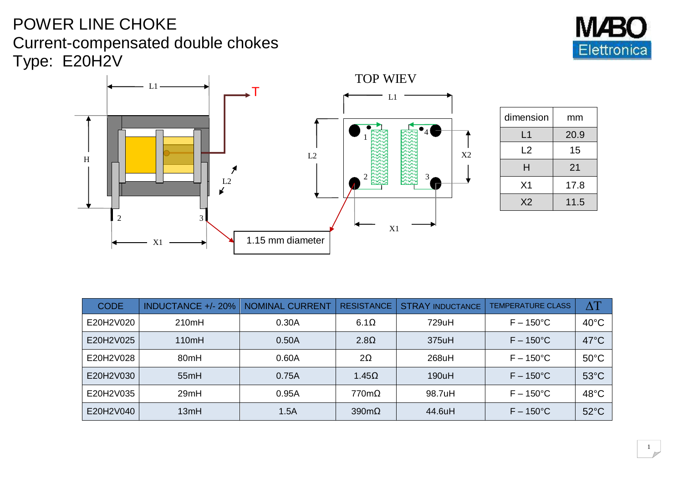## POWER LINE CHOKE Current-compensated double chokes Type: E20H2V



TOP WIEV  $L1 -$ T L1 4 1 L2 X2 H mm  $\boldsymbol{r}$ 2 এইপ্ৰে এইপ্ৰে এ  $\overrightarrow{L^2}$ 2 3 X1  $15 \text{ mm}$ X1 1.15 mm diameter  $\overline{\phantom{0}}$ 

| dimension      | mm   |  |
|----------------|------|--|
| L1             | 20.9 |  |
| L2             | 15   |  |
| н              | 21   |  |
| X <sub>1</sub> | 17.8 |  |
| X <sub>2</sub> | 11.5 |  |

| <b>CODE</b> | <b>INDUCTANCE +/- 20%</b> | NOMINAL CURRENT | <b>RESISTANCE</b>    | <b>STRAY INDUCTANCE</b> | <b>TEMPERATURE CLASS</b> | $\Delta T$     |
|-------------|---------------------------|-----------------|----------------------|-------------------------|--------------------------|----------------|
| E20H2V020   | 210mH                     | 0.30A           | $6.1\Omega$          | 729uH                   | $F - 150^{\circ}$ C      | $40^{\circ}$ C |
| E20H2V025   | 110mH                     | 0.50A           | $2.8\Omega$          | 375uH                   | $F - 150^{\circ}$ C      | $47^{\circ}$ C |
| E20H2V028   | 80 <sub>mH</sub>          | 0.60A           | $2\Omega$            | 268uH                   | $F - 150^{\circ}$ C      | $50^{\circ}$ C |
| E20H2V030   | 55mH                      | 0.75A           | $1.45\Omega$         | 190uH                   | $F - 150^{\circ}$ C      | $53^{\circ}$ C |
| E20H2V035   | 29mH                      | 0.95A           | $770m\Omega$         | 98.7uH                  | $F - 150^{\circ}$ C      | 48°C           |
| E20H2V040   | 13mH                      | 1.5A            | $390 \text{m}\Omega$ | 44.6uH                  | $F - 150^{\circ}$ C      | $52^{\circ}$ C |